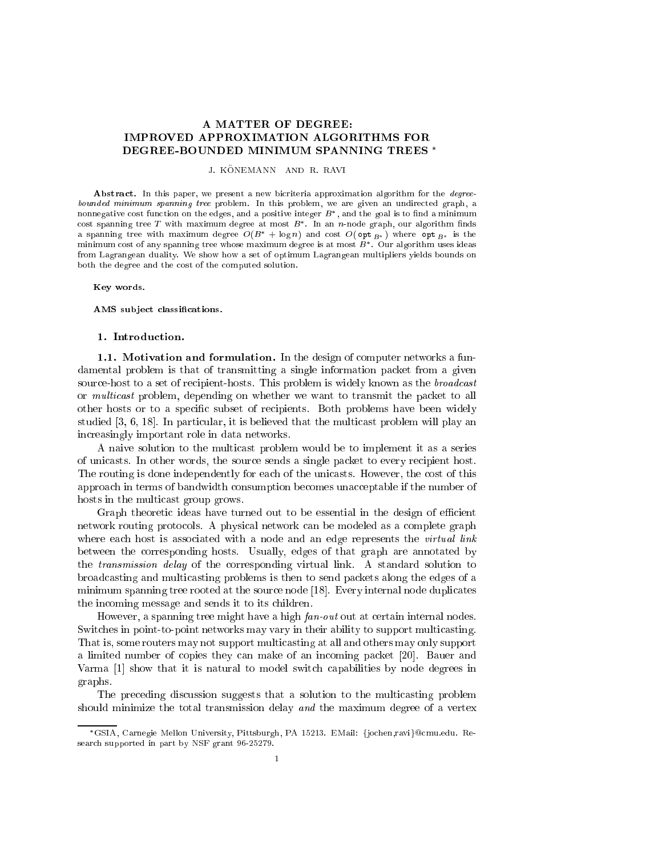## A MATTER OF DEGREE: **IMPROVED APPROXIMATION ALGORITHMS FOR** DEGREE-BOUNDED MINIMUM SPANNING TREES

J. KONEMANN AND R. RAVI

Abstract. In this paper, we present a new bicriteria approximation algorithm for the *degree*bounded minimum spanning tree problem. In this problem, we are given an undirected graph, a nonnegative cost function on the edges, and a positive integer  $D$  , and the goal is to find a minimum cost spanning tree  $I$  with maximum degree at most  $B$ . In an  $n$ -node graph, our algorithm muds a spanning tree with maximum degree  $O(B^+ + \log n)$  and cost  $O(\mathsf{opt}_{B^*})$  where  $\mathsf{opt}_{B^*}$  is the minimum cost of any spanning tree whose maximum degree is at most  $B^*$ . Our algorithm uses ideas from Lagrangean duality. We show how a set of optimum Lagrangean multipliers yields bounds on both the degree and the cost of the computed solution.

Key words.

AMS subject classifications.

1.1. Motivation and formulation. In the design of computer networks a fundamental problem is that of transmitting a single information packet from a given source-host to a set of recipient-hosts. This problem is widely known as the *broadcast* or *multicast* problem, depending on whether we want to transmit the packet to all other hosts or to a specific subset of recipients. Both problems have been widely studied  $[3, 6, 18]$ . In particular, it is believed that the multicast problem will play an in
reasingly important role in data networks.

A naive solution to the multi
ast problem would be to implement it as a series of uni
asts. In other words, the sour
e sends a single pa
ket to every re
ipient host. The routing is done independently for each of the unicasts. However, the cost of this approach in terms of bandwidth consumption becomes unacceptable if the number of hosts in the multi
ast group grows.

Graph theoretic ideas have turned out to be essential in the design of efficient network routing proto
ols. A physi
al network an be modeled as a omplete graph where each host is associated with a node and an edge represents the *virtual link* between the orresponding hosts. Usually, edges of that graph are annotated by the transmission delay of the orresponding virtual link. A standard solution to broad
asting and multi
asting problems is then to send pa
kets along the edges of a  $minimum$  spanning tree rooted at the source node [18]. Every internal node duplicates the in
oming message and sends it to its hildren.

However, a spanning tree might have a high  $fan$ -out out at certain internal nodes. Switches in point-to-point networks may vary in their ability to support multicasting. That is, some routers may not support multicasting at all and others may only support a limited number of copies they can make of an incoming packet [20]. Bauer and Varma [1] show that it is natural to model switch capabilities by node degrees in graphs.

The preceding discussion suggests that a solution to the multicasting problem should minimize the total transmission delay and the maximum degree of a vertex

GSIA, Carnegie Mellon University, Pittsburgh, PA 15213. EMail: fjo
hen,ravig
mu.edu. Resear
h supported in part by NSF grant 96-25279.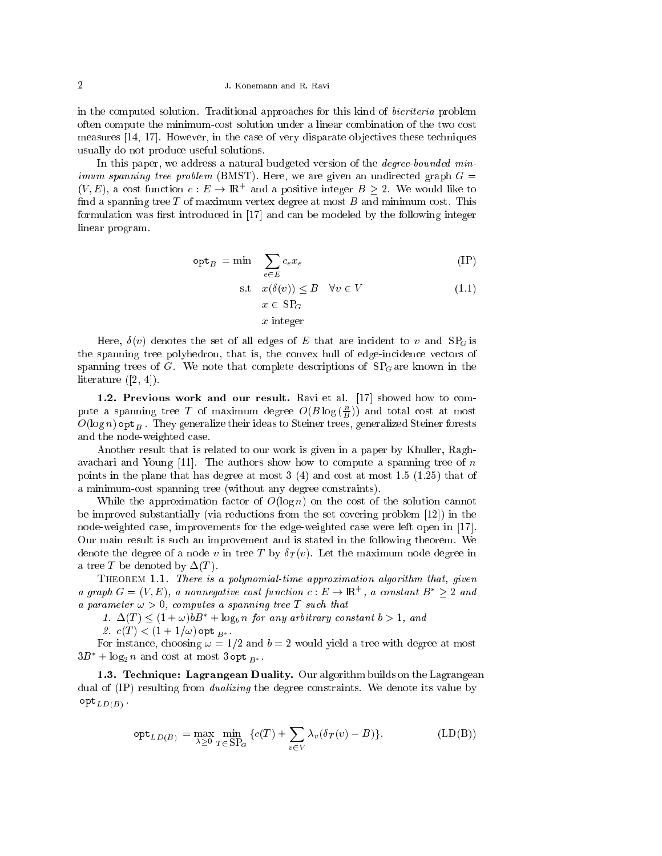## 2 J. Konemann and R. Ravi

in the computed solution. Traditional approaches for this kind of *bicriteria* problem often ompute the minimumost solution under a linear ombination of the two ost measures  $[14, 17]$ . However, in the case of very disparate objectives these techniques usually do not produ
e useful solutions.

In this paper, we address a natural budgeted version of the *degree-bounded minimum spanning tree problem* (BMST). Here, we are given an undirected graph  $G =$  $(V, E)$ , a cost function  $c: E \to \mathbb{R}^+$  and a positive integer  $B \geq 2$  . We would like to find a spanning tree  $T$  of maximum vertex degree at most  $B$  and minimum cost. This formulation was first introduced in  $[17]$  and can be modeled by the following integer linear program.

$$
\mathsf{opt}_B = \min \quad \sum_{e \in E} c_e x_e \tag{IP}
$$

s.t 
$$
x(\delta(v)) \leq B \quad \forall v \in V
$$
  
\n $x \in \text{SP}_G$   
\n $x \text{ integer}$  (1.1)

Here,  $\delta(v)$  denotes the set of all edges of E that are incident to v and  $SP_G$  is the spanning tree polyhedron, that is, the convex hull of edge-incidence vectors of spanning trees of G. We note that complete descriptions of  $SP<sub>G</sub>$  are known in the literature  $([2, 4]).$ 

1.2. Previous work and our result. Ravi et al.  $[17]$  showed how to compute a spanning tree T of maximum degree  $O(B \log(\frac{1}{B}))$  and total cost at most  $O(\log n)$  opt<sub>B</sub>. They generalize their ideas to Steiner trees, generalized Steiner forests and the node-weighted ase.

Another result that is related to our work is given in a paper by Khuller, Raghavachari and Young  $[11]$ . The authors show how to compute a spanning tree of n points in the plane that has degree at most  $3(4)$  and cost at most  $1.5(1.25)$  that of a minimum-cost spanning tree (without any degree constraints).

While the approximation factor of  $O(\log n)$  on the cost of the solution cannot be improved substantially (via reductions from the set covering problem  $[12]$ ) in the node-weighted case, improvements for the edge-weighted case were left open in [17]. Our main result is su
h an improvement and is stated in the following theorem. We denote the degree of a node v in tree T by  $\delta_T(v)$ . Let the maximum node degree in a tree T be denoted by  $\Delta(T)$ .

THEOREM 1.1. There is a polynomial-time approximation algorithm that, given a graph  $G = (V, E)$ , a nonnegative cost function  $c : E \to \mathbb{R}$  , a constant  $B \geq 2$  and a parameter  $\omega > 0$ , computes a spanning tree T such that

1.  $\Delta(T) \leq (1 + \omega)bB^* + \log_b n$  for any arbitrary constant  $b > 1$ , and

 $\overline{\phantom{a}}$  ,  $\overline{\phantom{a}}$  ,  $\overline{\phantom{a}}$  ,  $\overline{\phantom{a}}$  ,  $\overline{\phantom{a}}$  ,  $\overline{\phantom{a}}$  ,  $\overline{\phantom{a}}$  ,  $\overline{\phantom{a}}$  ,  $\overline{\phantom{a}}$  ,  $\overline{\phantom{a}}$  ,  $\overline{\phantom{a}}$  ,  $\overline{\phantom{a}}$  ,  $\overline{\phantom{a}}$  ,  $\overline{\phantom{a}}$  ,  $\overline{\phantom{a}}$  ,  $\overline{\phantom{a}}$ 

For instance, choosing  $\omega = 1/2$  and  $b = 2$  would yield a tree with degree at most  $\mathsf{S}\mathsf{D}^-$  +  $\log_2 n$  and cost at most  $\mathsf{S}\mathsf{S}\mathsf{D}\mathsf{D}_{B^*}.$ 

1.3. Technique: Lagrangean Duality. Our algorithm builds on the Lagrangean dual of (IP) resulting from *dualizing* the degree constraints. We denote its value by optLD(B) .

$$
\mathsf{opt}_{LD(B)} = \max_{\lambda \ge 0} \min_{T \in \text{SP}_G} \left\{ c(T) + \sum_{v \in V} \lambda_v (\delta_T(v) - B) \right\}.
$$
 (LD(B))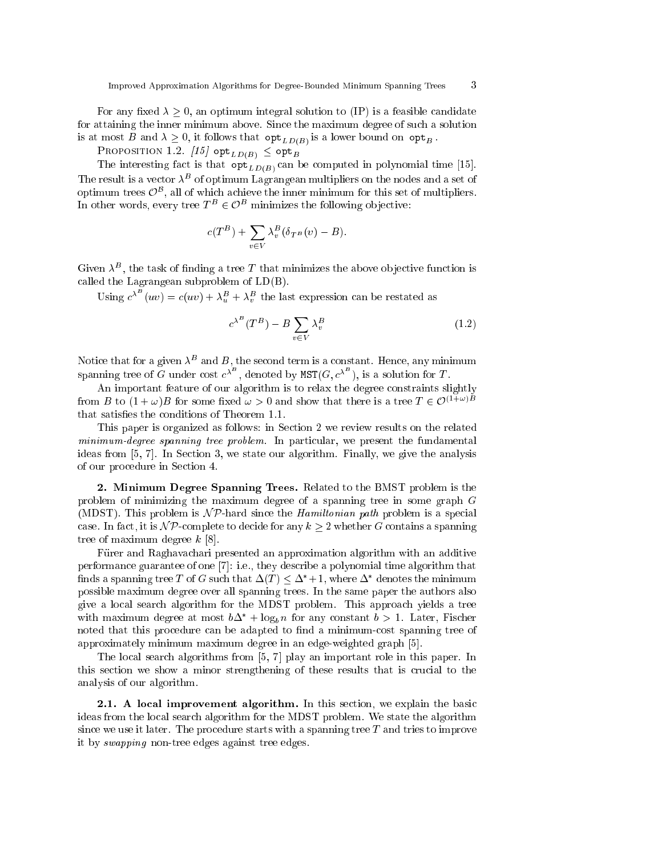For any fixed  $\lambda \geq 0$ , an optimum integral solution to (IP) is a feasible candidate for attaining the inner minimum above. Sin
e the maximum degree of su
h a solution is at most B and  $\alpha = 0,$  it follows that opt $\Gamma$  (DD(B) is a lower bound on opt $B$  .

PROPOSITION 1.2.  $[15]$  opt<sub>LD(B)</sub>  $\leq$  opt<sub>B</sub>

The interesting fact is that  $\mathsf{opt}_{LD(B)}$  can be computed in polynomial time [15]. The result is a vector  $\lambda^+$  of optimum Lagrangean multipliers on the nodes and a set of optimum trees  $\cup$  , an of which achieve the inner minimum for this set of multipliers. In other words, every tree  $I^- \in \mathcal{O}^+$  minimizes the following objective:

$$
c(T^{B})+\sum_{v\in V}\lambda_{v}^{B}(\delta_{T^{B}}(v)-B).
$$

Given  $\lambda^-$ , the task of midding a tree  $T$  that minimizes the above objective function is alled the Lagrangean subproblem of LD(B).

Using  $c^{\lambda^-}(uv) = c(uv) + \lambda_u^B + \lambda_v^B$  the last expression can be restated as

$$
c^{\lambda^B} (T^B) - B \sum_{v \in V} \lambda_v^B \tag{1.2}
$$

Notice that for a given  $\lambda^-$  and  $B$ , the second term is a constant. Hence, any minimum spanning tree of G under cost  $c^{x^-}$ , denoted by  $\text{MST}(G, c^{x^-})$ , is a solution for T.

An important feature of our algorithm is to relax the degree onstraints slightly from B to  $(1 + \omega)B$  for some fixed  $\omega > 0$  and show that there is a tree  $T \in \mathcal{O}^{(1+\omega)B}$ that satisfies the conditions of Theorem 1.1.

This paper is organized as follows: in Section 2 we review results on the related  $minimum-degree spanning tree problem.$  In particular, we present the fundamental ideas from  $[5, 7]$ . In Section 3, we state our algorithm. Finally, we give the analysis of our pro
edure in Se
tion 4.

2. Minimum Degree Spanning Trees. Related to the BMST problem is the problem of minimizing the maximum degree of a spanning tree in some graph <sup>G</sup> (MDST). This problem is  $\mathcal{NP}$ -hard since the *Hamiltonian path* problem is a special case. In fact, it is  $\mathcal{NP}$ -complete to decide for any  $k \geq 2$  whether G contains a spanning tree of maximum degree  $k$  [8].

Fürer and Raghavachari presented an approximation algorithm with an additive performance guarantee of one [7]: i.e., they describe a polynomial time algorithm that nnds a spanning tree tor $G$  such that  $\Delta(T) \leq \Delta^* +1$ , where  $\Delta^*$  denotes the minimum possible maximum degree over all spanning trees. In the same paper the authors also give a lo
al sear
h algorithm for the MDST problem. This approa
h yields a tree with maximum degree at most  $b\Delta^*$  +  $\log_b n$  for any constant  $b > 1$ . Later, Fischer noted that this procedure can be adapted to find a minimum-cost spanning tree of approximately minimum maximum degree in an edge-weighted graph [5].

The local search algorithms from [5, 7] play an important role in this paper. In this section we show a minor strengthening of these results that is crucial to the analysis of our algorithm.

**2.1.** A local improvement algorithm. In this section, we explain the basic ideas from the lo
al sear
h algorithm for the MDST problem. We state the algorithm since we use it later. The procedure starts with a spanning tree  $T$  and tries to improve it by swapping non-tree edges against tree edges.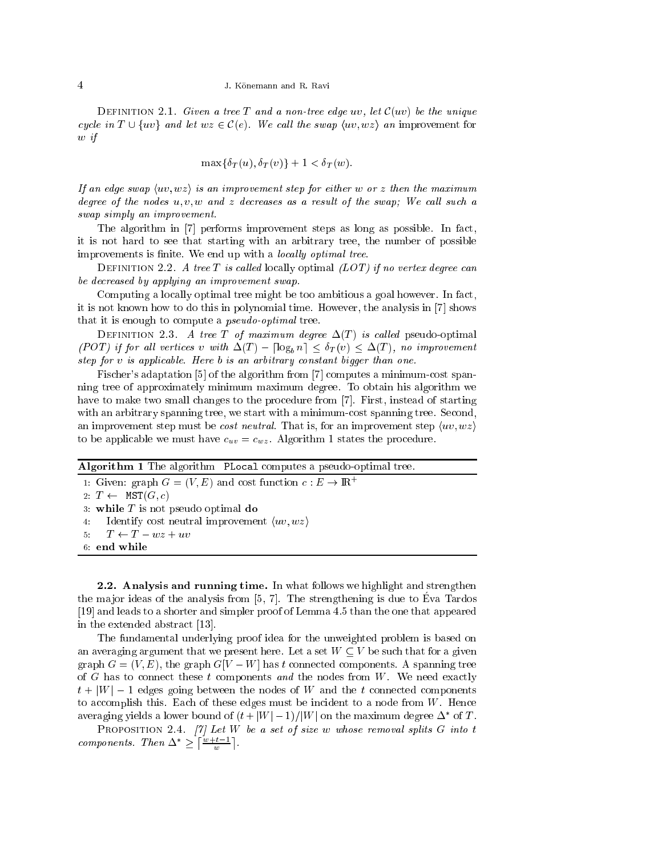DEFINITION 2.1. Given a tree T and a non-tree edge uv, let  $\mathcal{C}(uv)$  be the unique cycle in  $T \cup \{uv\}$  and let  $wz \in \mathcal{C}(e)$ . We call the swap  $\langle uv, wz \rangle$  an improvement for <sup>w</sup> if

$$
\max\{\delta_T(u), \delta_T(v)\} + 1 < \delta_T(w).
$$

If an edge swap  $\langle uv, wz \rangle$  is an improvement step for either w or z then the maximum degree of the nodes  $u, v, w$  and z decreases as a result of the swap; We call such a swap simply an improvement.

The algorithm in  $[7]$  performs improvement steps as long as possible. In fact, it is not hard to see that starting with an arbitrary tree, the number of possible improvements is finite. We end up with a locally optimal tree.

DEFINITION 2.2. A tree T is called locally optimal  $(LOT)$  if no vertex degree can be de
reased by applying an improvement swap.

Computing a locally optimal tree might be too ambitious a goal however. In fact, it is not known how to do this in polynomial time. However, the analysis in  $[7]$  shows that it is enough to compute a *pseudo-optimal* tree.

DEFINITION 2.3. A tree T of maximum degree  $\Delta(T)$  is called pseudo-optimal (POT) if for all vertices v with  $\Delta(T) - \lceil \log_h n \rceil \leq \delta_T(v) \leq \Delta(T)$ , no improvement step for v is applicable. Here b is an arbitrary constant bigger than one.

Fischer's adaptation [5] of the algorithm from [7] computes a minimum-cost spanning tree of approximately minimum maximum degree. To obtain his algorithm we have to make two small changes to the procedure from [7]. First, instead of starting with an arbitrary spanning tree, we start with a minimum-cost spanning tree. Second, an improvement step must be *cost neutral*. That is, for an improvement step  $\langle uv, wz \rangle$ to be applicable we must have  $c_{uv} = c_{wz}$ . Algorithm 1 states the procedure.

Algorithm 1 The algorithm PLocal computes a pseudo-optimal tree.

1: Given: graph  $G = (V, E)$  and cost function  $c : E \to \mathbb{R}^+$ 2:  $T \leftarrow \text{MST}(G, c)$ 3: while  $T$  is not pseudo optimal do 4: Identify cost neutral improvement  $\langle uv, wz \rangle$  $T \leftarrow T - wz + uv$  $5 -$ 6: end while

2.2. Analysis and running time. In what follows we highlight and strengthen the major ideas of the analysis from  $[5, 7]$ . The strengthening is due to Eva Tardos  $[19]$  and leads to a shorter and simpler proof of Lemma 4.5 than the one that appeared in the extended abstract  $[13]$ .

The fundamental underlying proof idea for the unweighted problem is based on an averaging argument that we present here. Let a set  $W \subseteq V$  be such that for a given graph  $G = (V, E)$ , the graph  $G[V - W]$  has t connected components. A spanning tree of  $G$  has to connect these  $t$  components and the nodes from  $W$ . We need exactly  $t + |W| - 1$  edges going between the nodes of W and the t connected components to accomplish this. Each of these edges must be incident to a node from  $W$ . Hence averaging yields a lower bound of  $(t+|W|-1)/|W|$  on the maximum degree  $\Delta$  for  $I$ .

PROPOSITION 2.4.  $[7]$  Let W be a set of size w whose removal splits G into t components. Then  $\Delta^*$  >  $\lceil \frac{w+t-1}{m} \rceil$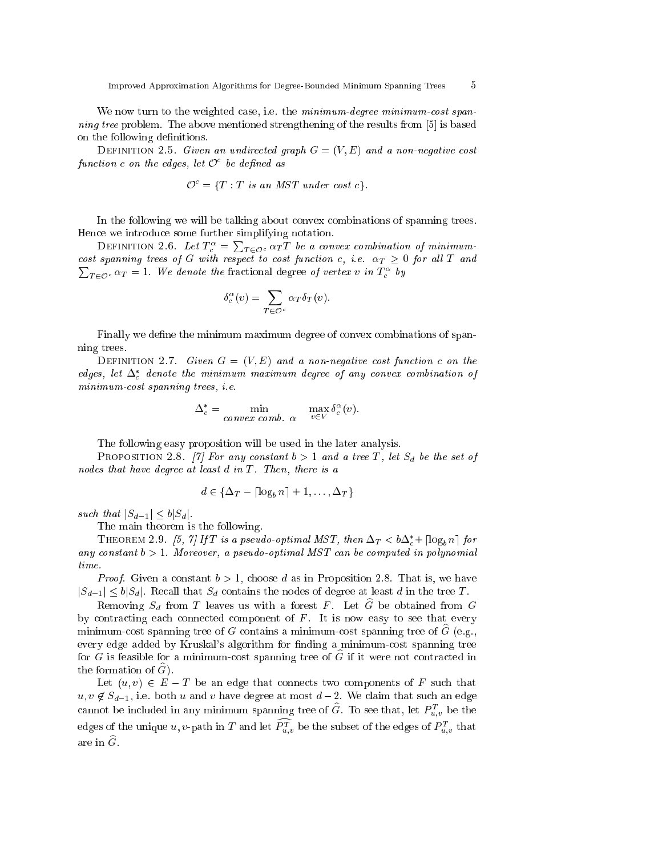We now turn to the weighted case, i.e. the minimum-degree minimum-cost spanning tree problem. The above mentioned strengthening of the results from  $[5]$  is based on the following definitions.

DEFINITION 2.5. Given an undirected graph  $G = (V, E)$  and a non-negative cost  $\emph{function}$  c on the eages, tet  $\cup$  be aennea as

$$
\mathcal{O}^c = \{T : T \text{ is an MST under cost } c\}.
$$

In the following we will be talking about onvex ombinations of spanning trees. Hen
e we introdu
e some further simplifying notation.

DEFINITION 2.6. Let  $T_c^{\alpha} = \sum_{T \in \mathcal{O}^c} \alpha_T T$  be a convex combination of minimumto the spanning trees of G with respect to their functions of the state of the state with  $\tau$  and  $\sum_{T \in \mathcal{O}^c} \alpha_T = 1$ . We denote the fractional degree of vertex v in  $T_c^{\alpha}$  by

$$
\delta_c^{\alpha}(v) = \sum_{T \in \mathcal{O}^c} \alpha_T \delta_T(v).
$$

Finally we define the minimum maximum degree of convex combinations of spanning trees.

DEFINITION 2.7. Given  $G = (V, E)$  and a non-negative cost function c on the eages, let  $\Delta_c$  aenote the minimum maximum aegree of any convex comvination of minimum-cost spanning trees, *i.e.* 

$$
\Delta_c^* = \min_{\text{convex comb. }\alpha} \quad \max_{v \in V} \delta_c^{\alpha}(v).
$$

The following easy proposition will be used in the later analysis.

PROPOSITION 2.8. [7] For any constant  $b > 1$  and a tree T, let  $S_d$  be the set of nodes that have degree at least  $d$  in  $T$ . Then, there is a

$$
d \in \{\Delta_T - \lceil \log_b n \rceil + 1, \dots, \Delta_T\}
$$

such that  $|S_{d-1}| \leq b|S_d|$ .

The main theorem is the following.

**THEOREM 2.9.** [5, 1] If I is a pseudo-optimal MST, then  $\Delta_T < 0 \Delta_c + |\log_b n|$  for any constant  $b > 1$ . Moreover, a pseudo-optimal MST can be computed in polynomial time.

*Proof.* Given a constant  $b > 1$ , choose d as in Proposition 2.8. That is, we have  $|S_{d-1}| \leq b|S_d|$ . Recall that  $S_d$  contains the nodes of degree at least d in the tree T.

Removing  $S_d$  from T leaves us with a forest F. Let  $\widehat{G}$  be obtained from G by contracting each connected component of  $F$ . It is now easy to see that every minimum-cost spanning tree of G contains a minimum-cost spanning tree of  $\tilde{G}$  (e.g., every edge added by Kruskal's algorithm for finding a minimum-cost spanning tree for  $G$  is feasible for a minimum-cost spanning tree of  $G$  if it were not contracted in the formation of  $G$ ).

Let  $(u, v) \in E - T$  be an edge that connects two components of F such that  $u, v \notin S_{d-1}$ , i.e. both u and v have degree at most  $d-2$ . We claim that such an edge cannot be included in any minimum spanning tree of  $G$ . To see that, let  $P_{u,v}^-$  be the edges of the unique  $u, v$ -path in T and let  $P^u_{u,v}$  be the subset of the edges of  $P^{\tau}_{u,v}$  that are in  $\widehat{G}$ .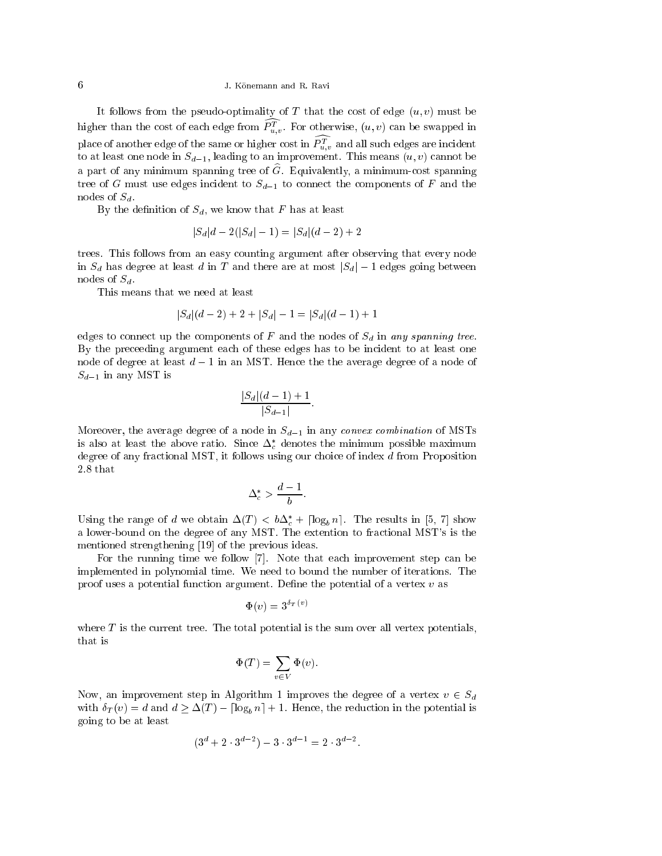## 6 J. Konemann and R. Ravi

It follows from the pseudo-optimality of  $T$  that the cost of edge  $(u, v)$  must be ingher than the cost of each edge from  $P_{u,v}^{\ast}$  . For otherwise,  $(u,v)$  can be swapped in place of another edge of the same or higher cost in  $F_{u,v}^*$  and all such edges are incluent to at least one node in  $S_{d-1}$ , leading to an improvement. This means  $(u, v)$  cannot be a part of any minimum spanning tree of  $\widehat{G}$ . Equivalently, a minimum-cost spanning tree of G must use edges incident to  $S_{d-1}$  to connect the components of F and the nodes of  $S_d$ .

By the definition of  $S_d$ , we know that F has at least

$$
|S_d|d - 2(|S_d| - 1) = |S_d|(d - 2) + 2
$$

trees. This follows from an easy ounting argument after observing that every node in  $S_d$  has degree at least d in T and there are at most  $|S_d| - 1$  edges going between nodes of  $S_d$ .

This means that we need at least

$$
|S_d|(d-2) + 2 + |S_d| - 1 = |S_d|(d-1) + 1
$$

edges to connect up the components of F and the nodes of  $S_d$  in any spanning tree. By the preceeding argument each of these edges has to be incident to at least one node of degree at least  $d-1$  in an MST. Hence the the average degree of a node of  $S_{d-1}$  in any MST is

$$
\frac{|S_d|(d-1)+1}{|S_{d-1}|}
$$

Moreover, the average degree of a node in  $S_{d-1}$  in any convex combination of MSTs is also at least the above ratio. Since  $\Delta_c$  denotes the minimum possible maximum degree of any fractional MST, it follows using our choice of index d from Proposition 2.8 that

$$
\Delta_c^* > \frac{d-1}{b}
$$

Using the range of a we obtain  $\Delta(T) < \theta \Delta_c + |\log_b n|$ . The results in [5, *t*] show a lower-bound on the degree of any MST. The extention to fra
tional MST's is the mentioned strengthening  $[19]$  of the previous ideas.

For the running time we follow  $[7]$ . Note that each improvement step can be implemented in polynomial time. We need to bound the number of iterations. The proof uses a potential function argument. Define the potential of a vertex  $v$  as

$$
\Phi(v) = 3^{\delta_T(v)}
$$

where  $T$  is the current tree. The total potential is the sum over all vertex potentials, that is

$$
\Phi(T) = \sum_{v \in V} \Phi(v).
$$

Now, an improvement step in Algorithm 1 improves the degree of a vertex  $v \in S_d$ with  $\delta_T(v) = d$  and  $d \geq \Delta(T) - \lceil \log_b n \rceil + 1$ . Hence, the reduction in the potential is going to be at least

$$
(3^d + 2 \cdot 3^{d-2}) - 3 \cdot 3^{d-1} = 2 \cdot 3^{d-2}.
$$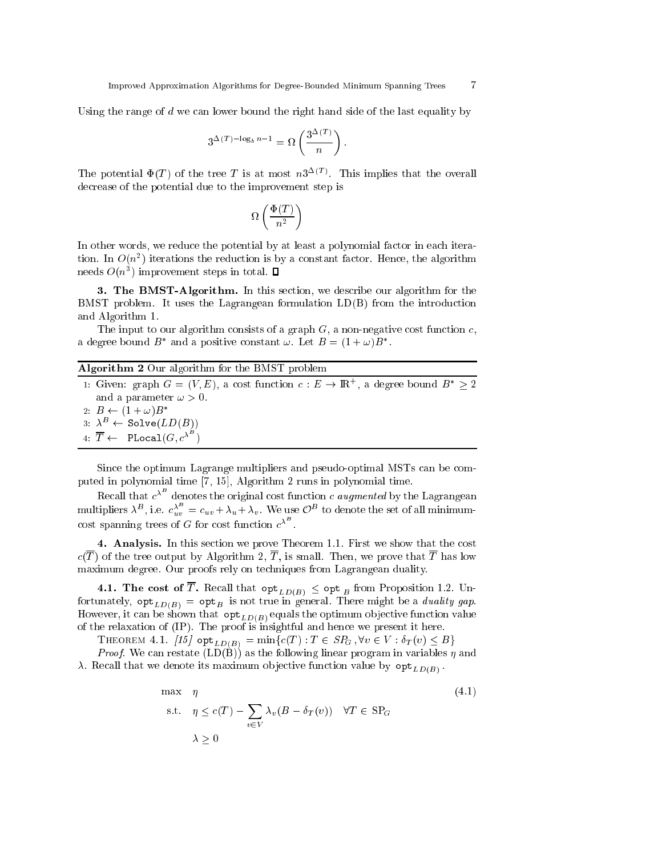Using the range of  $d$  we can lower bound the right hand side of the last equality by

$$
3^{\Delta(T) - \log_b n - 1} = \Omega\left(\frac{3^{\Delta(T)}}{n}\right).
$$

The potential  $\Psi(T)$  of the tree T is at most  $n3^{-1/7}$ . This implies that the overall decrease of the potential due to the improvement step is

$$
\Omega\left(\frac{\Phi(T)}{n^2}\right)
$$

In other words, we reduce the potential by at least a polynomial factor in each itera $t$ ion. In  $O(n$  ) iterations the reduction is by a constant factor. Hence, the algorithm  ${\rm meas}$   $O(n$  ) improvement steps in total.

**3. The BMST-Algorithm.** In this section, we describe our algorithm for the BMST problem. It uses the Lagrangean formulation LD(B) from the introdu
tion and Algorithm 1.

The input to our algorithm consists of a graph  $G$ , a non-negative cost function c, a degree bound B and a positive constant  $\omega$ . Let  $B = (1 + \omega)B$ .

# Algorithm 2 Our algorithm for the BMST problem

| 1: Given: graph $G = (V, E)$ , a cost function $c : E \to \mathbb{R}^+$ , a degree bound $B^* > 2$ |
|----------------------------------------------------------------------------------------------------|
| and a parameter $\omega > 0$ .                                                                     |
| 2: $B \leftarrow (1 + \omega)B^*$                                                                  |
| $3: \lambda^B \leftarrow \text{Solve}(LD(B))$                                                      |
| 4: $\overline{T} \leftarrow$ PLocal $(G, c^{\lambda^B})$                                           |

Since the optimum Lagrange multipliers and pseudo-optimal MSTs can be computed in polynomial time  $[7, 15]$ , Algorithm 2 runs in polynomial time.

Recall that  $c^{\lambda}$  denotes the original cost function c *augmented* by the Lagrangean multipliers  $\lambda^B$ , i.e.  $c_{uv}^{\lambda^T} = c_{uv} + \lambda_u + \lambda_v$ . We use  $\mathcal{O}^B$  to denote the set of all minimumcost spanning trees of G for cost function  $c^{\lambda^-}$ .

4. Analysis. In this section we prove Theorem 1.1. First we show that the cost  $c(\overline{T})$  of the tree output by Algorithm 2,  $\overline{T}$ , is small. Then, we prove that  $\overline{T}$  has low maximum degree. Our proofs rely on te
hniques from Lagrangean duality.

4.1. The cost of  $\overline{T}$ . Recall that  $\operatorname{opt}_{LD(B)} \leq \operatorname{opt}_B$  from Proposition 1.2. Unfortunately,  $\mathsf{opt}_{LD(B)} = \mathsf{opt}_B$  is not true in general. There might be a *duality gap*. However, it can be shown that  $opt_{LD(B)}$  equals the optimum objective function value of the relaxation of (IP). The proof is insightful and hen
e we present it here.

THEOREM 4.1. [15]  $\text{opt}_{LD(B)} = \min \{c(T) : T \in SP_G, \forall v \in V : \delta_T(v) \leq B\}$ 

*Proof.* We can restate  $(LD(\dot{B}))$  as the following linear program in variables  $\eta$  and . Respective function is maximum observation of  $J$  , and the set of  $\mathcal{L}^{\mathcal{L}}$  ,  $\mathcal{L}^{\mathcal{L}}$ 

$$
\max \quad \eta
$$
\n
$$
\text{s.t.} \quad \eta \le c(T) - \sum_{v \in V} \lambda_v (B - \delta_T(v)) \quad \forall T \in \text{SP}_G
$$
\n
$$
\lambda \ge 0
$$
\n
$$
(4.1)
$$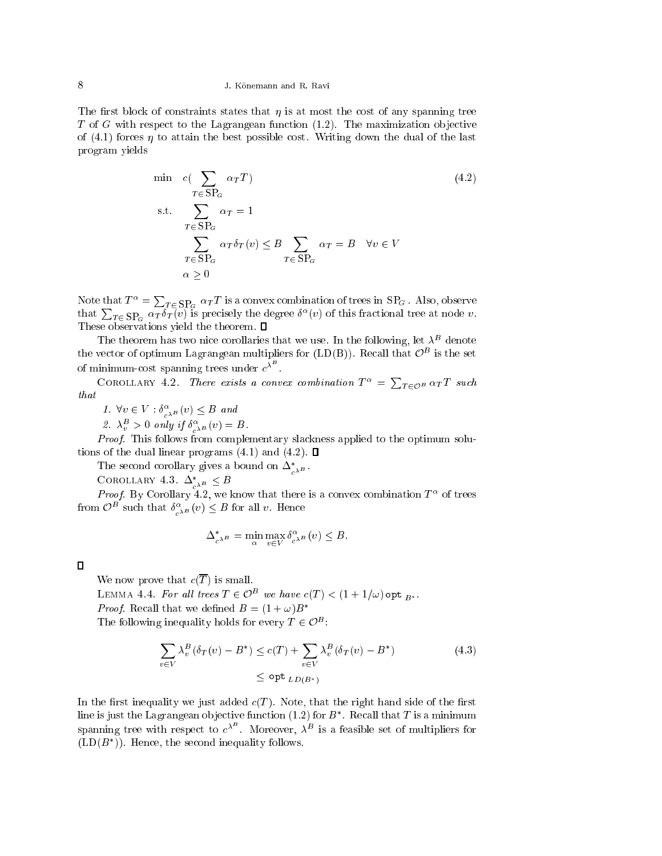## 8 J. Konemann and R. Ravi

The first block of constraints states that  $\eta$  is at most the cost of any spanning tree  $T$  of  $G$  with respect to the Lagrangean function  $(1.2)$ . The maximization objective of  $(4.1)$  forces  $\eta$  to attain the best possible cost. Writing down the dual of the last program yields

$$
\min c(\sum_{T \in \text{SP}_G} \alpha_T T) \tag{4.2}
$$
\n
$$
\text{s.t.} \sum_{T \in \text{SP}_G} \alpha_T = 1
$$
\n
$$
\sum_{T \in \text{SP}_G} \alpha_T \delta_T(v) \leq B \sum_{T \in \text{SP}_G} \alpha_T = B \quad \forall v \in V
$$
\n
$$
\alpha \geq 0
$$

Note that  $T^{\alpha} = \sum_{T \in \text{SP}_G} \alpha_T T$  is a convex combination of trees in  $\text{SP}_G$ . Also, observe that  $\sum_{T \in \text{SP}_G} \alpha_T \delta_T(v)$  is precisely the degree  $\delta^{\alpha}(v)$  of this fractional tree at node  $v$ . These observations yield the theorem.  $\square$ 

The theorem has two filte corollaries that we use. In the following, let  $\lambda$  defiote the vector of optimum Lagrangean multipliers for  $(LD(D))$ . Recall that  $\bar{U}$  is the set of minimum-cost spanning trees under  $c^{\lambda^-}$ .

COROLLARY 4.2. There exists a convex combination  $T^{\alpha} = \sum_{T \in \mathcal{O}^B} \alpha_T T$  such that

1.  $\forall v \in V : \sigma_{c^{\lambda}B}^{-1}(v) \leq B$  and

z.  $\lambda_v > 0$  only if  $\sigma_{c^{\lambda^B}}(v) = D$ .

Proof. This follows from complementary slackness applied to the optimum solutions of the dual linear programs  $(4.1)$  and  $(4.2)$ .  $\Box$ 

The second corollary gives a bound on  $\Delta_{c^{\lambda^B}}$ .

COROLLARY 4.3.  $\Delta_{c^{\lambda^B}} \leq D$ 

*Proof.* By Corollary 4.2, we know that there is a convex combination  $T^-$  of trees from  $O^-$  such that  $\sigma_{c^{\lambda B}}^{\ast}(v) \leq B$  for all v. Hence

$$
\Delta_{c^{\lambda^B}}^* = \min_{\alpha} \max_{v \in V} \delta_{c^{\lambda^B}}^{\alpha}(v) \leq B.
$$

## $\Box$

We now prove that  $c(\overline{T})$  is small.

LEMMA 4.4. For an irees  $I \in \mathbb{C}^-$  we have  $c(I) \leq (1 + 1/\omega)$  opt  $_{B^*}.$ *Proof.* Recall that we defined  $B = (1 + \omega)B^*$ The following inequality holds for every  $I \in \mathcal{O}^-$ :

$$
\sum_{v \in V} \lambda_v^B (\delta_T(v) - B^*) \le c(T) + \sum_{v \in V} \lambda_v^B (\delta_T(v) - B^*)
$$
\n
$$
\le \operatorname{opt}_{LD(B^*)} L(D(B^*)) \tag{4.3}
$$

)

In the first inequality we just added  $c(T)$ . Note, that the right hand side of the first tine is just the Lagrangean objective function  $(1.2)$  for  $B$  . Recall that T is a minimum spanning tree with respect to  $c^{\lambda}$ . Moreover,  $\lambda^{B}$  is a feasible set of multipliers for  $(LD/D)$ . Hence, the second inequality follows.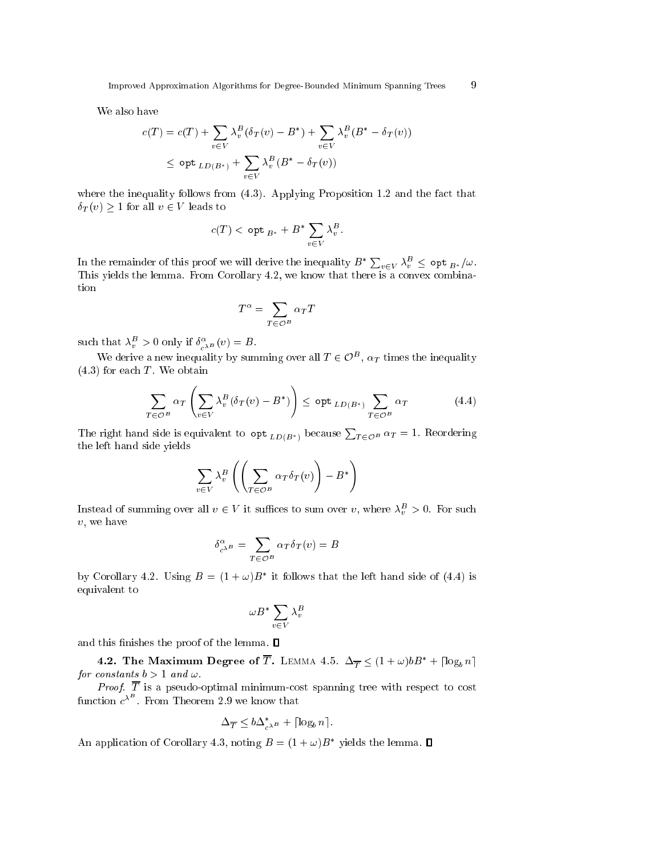We also have

$$
c(T) = c(T) + \sum_{v \in V} \lambda_v^B (\delta_T(v) - B^*) + \sum_{v \in V} \lambda_v^B (B^* - \delta_T(v))
$$
  

$$
\leq \operatorname{opt}_{LD(B^*)} + \sum_{v \in V} \lambda_v^B (B^* - \delta_T(v))
$$

where the inequality follows from  $(4.3)$ . Applying Proposition 1.2 and the fact that  $\delta_T(v) \geq 1$  for all  $v \in V$  leads to

$$
c(T) < \mathsf{opt}_{B^*} + B^* \sum_{v \in V} \lambda_v^B.
$$

In the remainder of this proof we will derive the inequality  $B^* \sum_{v \in V} \lambda_v^B \leq$   $\mathsf{opt}_{B^*}/\omega$ . This yields the lemma. From Corollary 4.2, we know that there is a convex combination

$$
T^\alpha = \sum_{T \in \mathcal{O}^B} \alpha_T T
$$

such that  $\lambda_v^- > 0$  only if  $\delta_{c^{\lambda B}}(v) = B$ .

We derive a new inequality by summing over all  $I \in \mathcal{O}^+$ ,  $\alpha_T$  times the inequality  $(4.3)$  for each T. We obtain

$$
\sum_{T \in \mathcal{O}^B} \alpha_T \left( \sum_{v \in V} \lambda_v^B (\delta_T(v) - B^*) \right) \le \mathsf{opt}_{LD(B^*)} \sum_{T \in \mathcal{O}^B} \alpha_T \tag{4.4}
$$

The right hand side is equivalent to  $\det_{LD(B^*)}$  because  $\sum_{T \in \mathcal{O}^B} \alpha_T = 1$ . Reordering the left hand side yields

$$
\sum_{v \in V} \lambda_v^B \left( \left( \sum_{T \in \mathcal{O}^B} \alpha_T \delta_T(v) \right) - B^* \right)
$$

Instead of summing over all  $v \in V$  it sumces to sum over v, where  $\lambda_v^- > 0$ . For such v, we have

$$
\delta_{c^{\lambda B}}^{\alpha} = \sum_{T \in \mathcal{O}^B} \alpha_T \delta_T(v) = B
$$

by Corollary 4.2. Using  $D = (1 + \omega)D$  it follows that the left hand side of (4.4) is equivalent to

$$
\omega B^* \sum_{v \in V} \lambda_v^B
$$

and this finishes the proof of the lemma.  $\blacksquare$ 

**4.2. The Maximum Degree of**  $\overline{T}$ **.** LEMMA 4.5.  $\Delta_{\overline{T}} \leq (1 + \omega) b B^* + \lceil \log_b n \rceil$ for onstants <sup>b</sup> <sup>&</sup>gt; 1 and !.

Proof. <sup>T</sup> is <sup>a</sup> pseudo-optimal minimumost spanning tree with respe
t to ost function  $c^{\lambda^-}$  . From Theorem 2.9 we know that

$$
\Delta_{\overline{T}} \le b \Delta_{c^{\lambda^B}}^* + \lceil \log_b n \rceil.
$$

An application of Corollary 4.3, noting  $B = (1 + \omega)B$  – yields the lemma.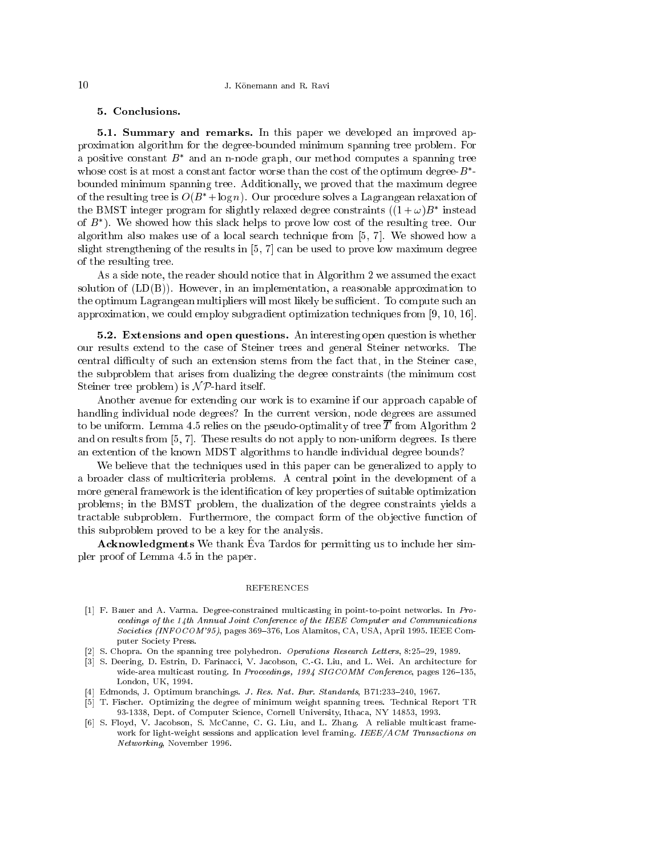## 5. Con
lusions.

5.1. Summary and remarks. In this paper we developed an improved approximation algorithm for the degree-bounded minimum spanning tree problem. For a positive constant *D* and an n-node graph, our method computes a spanning tree whose cost is at most a constant factor worse than the cost of the optimum degree- $B$  bounded minimum spanning tree. Additionally, we proved that the maximum degree of the resulting tree is  $O(B^* + \log n)$ . Our procedure solves a Lagrangean relaxation of the BMST integer program for slightly relaxed degree constraints  $((1 + \omega)B$  instead of  $B$  ). We snowed now this slack helps to prove low cost of the resulting tree. Our algorithm also makes use of a local search technique from  $[5, 7]$ . We showed how a slight strengthening of the results in  $[5, 7]$  can be used to prove low maximum degree of the resulting tree.

As a side note, the reader should notice that in Algorithm 2 we assumed the exact solution of  $(LD(B))$ . However, in an implementation, a reasonable approximation to the optimum Lagrangean multipliers will most likely be sufficient. To compute such an approximation, we could employ subgradient optimization techniques from  $[9, 10, 16]$ .

5.2. Extensions and open questions. An interesting open question is whether our results extend to the ase of Steiner trees and general Steiner networks. The central difficulty of such an extension stems from the fact that, in the Steiner case, the subproblem that arises from dualizing the degree onstraints (the minimum ost Steiner tree problem) is  $\mathcal{NP}$ -hard itself.

Another avenue for extending our work is to examine if our approach capable of handling individual node degrees? In the current version, node degrees are assumed to be uniform. Lemma 4.5 relies on the pseudo-optimality of tree  $\overline{T}$  from Algorithm 2 and on results from  $[5, 7]$ . These results do not apply to non-uniform degrees. Is there an extention of the known MDST algorithms to handle individual degree bounds?

We believe that the techniques used in this paper can be generalized to apply to a broader lass of multi
riteria problems. A entral point in the development of a more general framework is the identification of key properties of suitable optimization problems; in the BMST problem, the dualization of the degree onstraints yields a tractable subproblem. Furthermore, the compact form of the objective function of this subproblem proved to be a key for the analysis.

Acknowledgments We thank Eva Tardos for permitting us to include her simpler proof of Lemma 4.5 in the paper.

### REFERENCES

- [1] F. Bauer and A. Varma. Degree-constrained multicasting in point-to-point networks. In Proceedings of the 14th Annual Joint Conference of the IEEE Computer and Communications Societies (INFOCOM'95), pages 369-376, Los Alamitos, CA, USA, April 1995. IEEE Computer Society Press.
- [2] S. Chopra. On the spanning tree polyhedron. Operations Research Letters, 8:25-29, 1989.
- [3] S. Deering, D. Estrin, D. Farinacci, V. Jacobson, C.-G. Liu, and L. Wei. An architecture for wide-area multicast routing. In Proceedings, 1994 SIGCOMM Conference, pages 126-135, London, UK, 1994.
- [4] Edmonds, J. Optimum branchings. J. Res. Nat. Bur. Standards, B71:233-240, 1967.
- [5] T. Fischer. Optimizing the degree of minimum weight spanning trees. Technical Report TR 93-1338, Dept. of Computer Science, Cornell University, Ithaca, NY 14853, 1993.
- [6] S. Floyd, V. Jacobson, S. McCanne, C. G. Liu, and L. Zhang. A reliable multicast framework for light-weight sessions and application level framing. IEEE/ACM Transactions on Networking, November 1996.